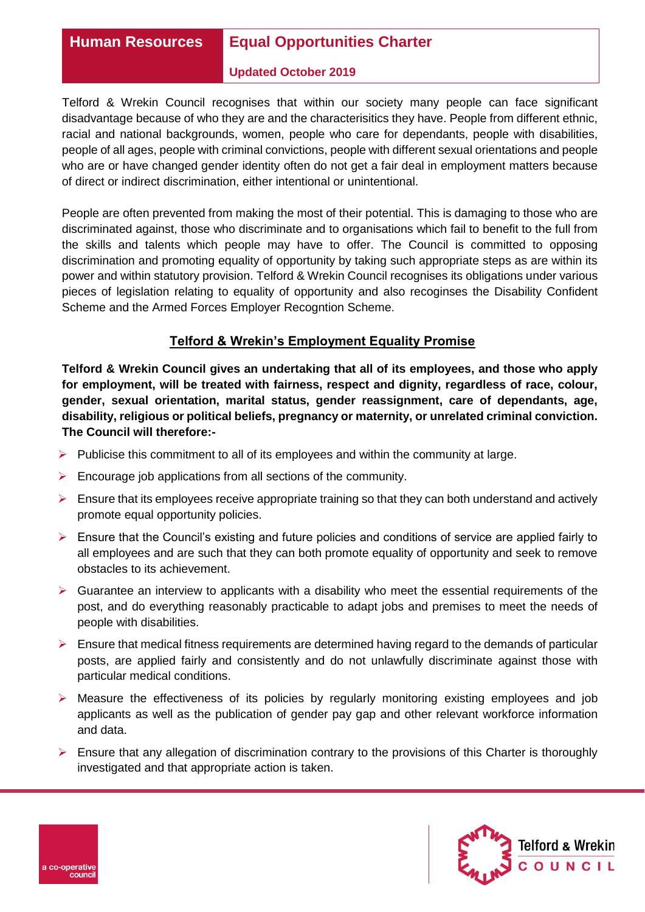# **Human Resources Equal Opportunities Charter**

#### **Updated October 2019**

Telford & Wrekin Council recognises that within our society many people can face significant disadvantage because of who they are and the characterisitics they have. People from different ethnic, racial and national backgrounds, women, people who care for dependants, people with disabilities, people of all ages, people with criminal convictions, people with different sexual orientations and people who are or have changed gender identity often do not get a fair deal in employment matters because of direct or indirect discrimination, either intentional or unintentional.

People are often prevented from making the most of their potential. This is damaging to those who are discriminated against, those who discriminate and to organisations which fail to benefit to the full from the skills and talents which people may have to offer. The Council is committed to opposing discrimination and promoting equality of opportunity by taking such appropriate steps as are within its power and within statutory provision. Telford & Wrekin Council recognises its obligations under various pieces of legislation relating to equality of opportunity and also recoginses the Disability Confident Scheme and the Armed Forces Employer Recogntion Scheme.

## **Telford & Wrekin's Employment Equality Promise**

**Telford & Wrekin Council gives an undertaking that all of its employees, and those who apply for employment, will be treated with fairness, respect and dignity, regardless of race, colour, gender, sexual orientation, marital status, gender reassignment, care of dependants, age, disability, religious or political beliefs, pregnancy or maternity, or unrelated criminal conviction. The Council will therefore:-**

- $\triangleright$  Publicise this commitment to all of its employees and within the community at large.
- $\triangleright$  Encourage job applications from all sections of the community.
- $\triangleright$  Ensure that its employees receive appropriate training so that they can both understand and actively promote equal opportunity policies.
- $\triangleright$  Ensure that the Council's existing and future policies and conditions of service are applied fairly to all employees and are such that they can both promote equality of opportunity and seek to remove obstacles to its achievement.
- $\triangleright$  Guarantee an interview to applicants with a disability who meet the essential requirements of the post, and do everything reasonably practicable to adapt jobs and premises to meet the needs of people with disabilities.
- $\triangleright$  Ensure that medical fitness requirements are determined having regard to the demands of particular posts, are applied fairly and consistently and do not unlawfully discriminate against those with particular medical conditions.
- $\triangleright$  Measure the effectiveness of its policies by regularly monitoring existing employees and job applicants as well as the publication of gender pay gap and other relevant workforce information and data.
- $\triangleright$  Ensure that any allegation of discrimination contrary to the provisions of this Charter is thoroughly investigated and that appropriate action is taken.